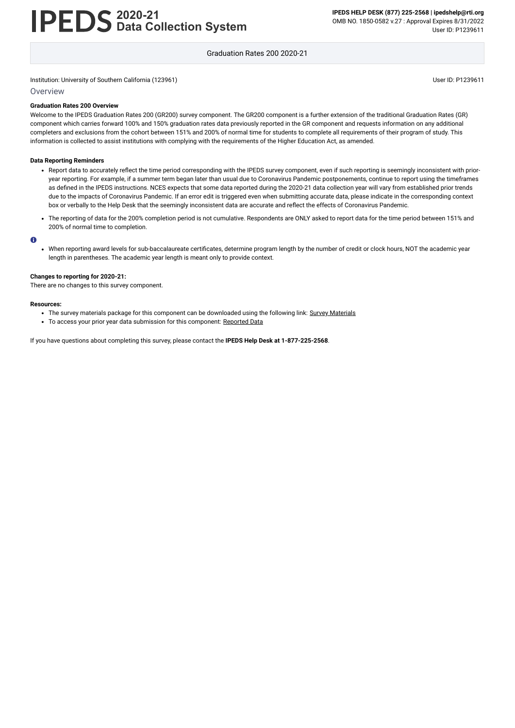# **2020-21 Data Collection System**

**IPEDS HELP DESK (877) 225-2568 | ipedshelp@rti.org** OMB NO. 1850-0582 v.27 : Approval Expires 8/31/2022 User ID: P1239611

Graduation Rates 200 2020-21

Institution: University of Southern California (123961) User ID: P1239611

### **Overview**

### **Graduation Rates 200 Overview**

Welcome to the IPEDS Graduation Rates 200 (GR200) survey component. The GR200 component is a further extension of the traditional Graduation Rates (GR) component which carries forward 100% and 150% graduation rates data previously reported in the GR component and requests information on any additional completers and exclusions from the cohort between 151% and 200% of normal time for students to complete all requirements of their program of study. This information is collected to assist institutions with complying with the requirements of the Higher Education Act, as amended.

### **Data Reporting Reminders**

- Report data to accurately reflect the time period corresponding with the IPEDS survey component, even if such reporting is seemingly inconsistent with prioryear reporting. For example, if a summer term began later than usual due to Coronavirus Pandemic postponements, continue to report using the timeframes as defined in the IPEDS instructions. NCES expects that some data reported during the 2020-21 data collection year will vary from established prior trends due to the impacts of Coronavirus Pandemic. If an error edit is triggered even when submitting accurate data, please indicate in the corresponding context box or verbally to the Help Desk that the seemingly inconsistent data are accurate and reflect the effects of Coronavirus Pandemic.
- The reporting of data for the 200% completion period is not cumulative. Respondents are ONLY asked to report data for the time period between 151% and 200% of normal time to completion.

### $\bullet$

When reporting award levels for sub-baccalaureate certificates, determine program length by the number of credit or clock hours, NOT the academic year length in parentheses. The academic year length is meant only to provide context.

### **Changes to reporting for 2020-21:**

There are no changes to this survey component.

### **Resources:**

- The survey materials package for this component can be downloaded using the following link: Survey [Materials](https://surveys.nces.ed.gov/ipeds/public/survey-materials/index)
- To access your prior year data submission for this component: [Reported Data](https://surveys.nces.ed.gov/IPEDS_py/DataForms.aspx?f0e9e4efc4dfb8acadaeb4b1aca1eef0edf1e0f4c4dfb8ada1f0eee0edc4dfb8cbacadaeb4b1acaca1f0e9e4efc9dce8e0b8d0e9e4f1e0edeee4eff49beae19bceeaf0efe3e0ede99bbedce7e4e1eaede9e4dca1ebedeadee0eeeeb8e0f3efe0ede9dce7a1eddfefb8adaaacadaaadabadac9baeb5acb4b5abaf9bcbc8)

If you have questions about completing this survey, please contact the **IPEDS Help Desk at 1-877-225-2568**.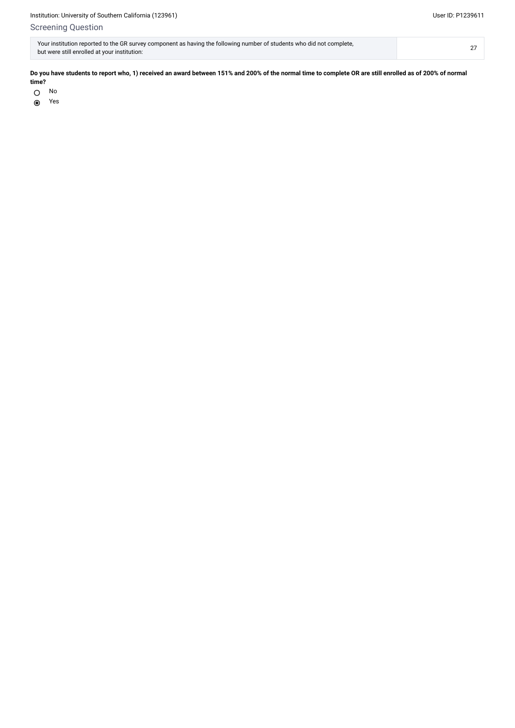# Screening Question

| Your institution reported to the GR survey component as having the following number of students who did not complete, |  |
|-----------------------------------------------------------------------------------------------------------------------|--|
| but were still enrolled at your institution:                                                                          |  |

No  $\bigcirc$ 

Yes $\begin{matrix} \bullet \\ \bullet \end{matrix}$ 

**Do you have students to report who, 1) received an award between 151% and 200% of the normal time to complete OR are still enrolled as of 200% of normal time?**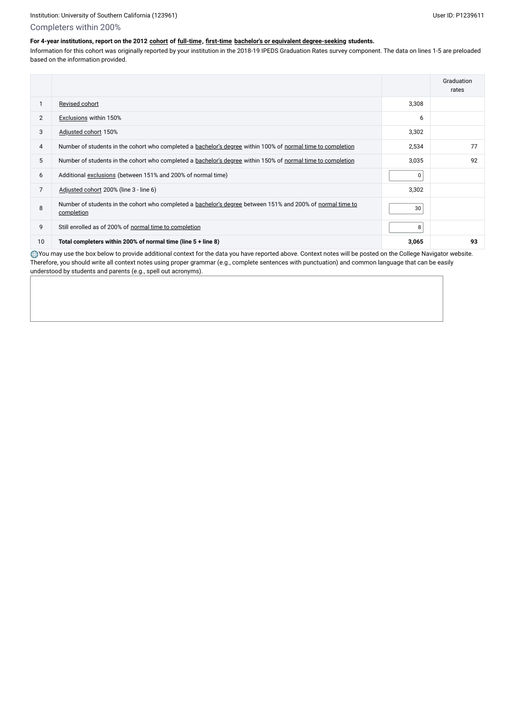## Completers within 200%

## **For 4-year institutions, report on the 2012 [cohort](javascript:openglossary(119)) of [full-time,](javascript:openglossary(259)) [first-time](javascript:openglossary(241)) [bachelor's or equivalent degree-seeking](javascript:openglossary(79)) students.**

Information for this cohort was originally reported by your institution in the 2018-19 IPEDS Graduation Rates survey component. The data on lines 1-5 are preloaded based on the information provided.

You may use the box below to provide additional context for the data you have reported above. Context notes will be posted on the College Navigator website. Therefore, you should write all context notes using proper grammar (e.g., complete sentences with punctuation) and common language that can be easily understood by students and parents (e.g., spell out acronyms).

|                 |                                                                                                                          |                | Graduation<br>rates |
|-----------------|--------------------------------------------------------------------------------------------------------------------------|----------------|---------------------|
|                 | Revised cohort                                                                                                           | 3,308          |                     |
| $\overline{2}$  | <b>Exclusions within 150%</b>                                                                                            | 6              |                     |
| 3               | Adjusted cohort 150%                                                                                                     | 3,302          |                     |
| 4               | Number of students in the cohort who completed a bachelor's degree within 100% of normal time to completion              | 2,534          | 77                  |
| $5\phantom{.0}$ | Number of students in the cohort who completed a bachelor's degree within 150% of normal time to completion              | 3,035          | 92                  |
| 6               | Additional exclusions (between 151% and 200% of normal time)                                                             | 0 <sup>1</sup> |                     |
| 7               | Adjusted cohort 200% (line 3 - line 6)                                                                                   | 3,302          |                     |
| 8               | Number of students in the cohort who completed a bachelor's degree between 151% and 200% of normal time to<br>completion | 30             |                     |
| 9               | Still enrolled as of 200% of normal time to completion                                                                   | 8              |                     |
| 10              | Total completers within 200% of normal time (line 5 + line 8)                                                            | 3,065          | 93                  |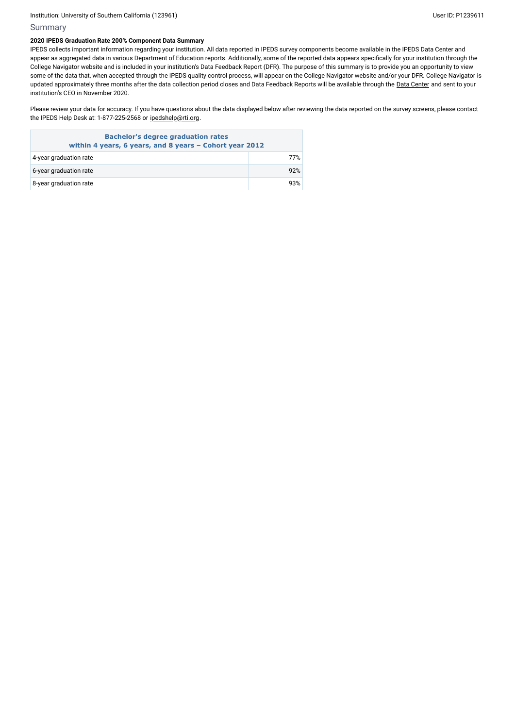### Institution: University of Southern California (123961) and the USE of District of Southern California (1239611

### Summary

### **2020 IPEDS Graduation Rate 200% Component Data Summary**

Please review your data for accuracy. If you have questions about the data displayed below after reviewing the data reported on the survey screens, please contact the IPEDS Help Desk at: 1-877-225-2568 or [ipedshelp@rti.org](mailto:ipedshelp@rti.org).

IPEDS collects important information regarding your institution. All data reported in IPEDS survey components become available in the IPEDS Data Center and appear as aggregated data in various Department of Education reports. Additionally, some of the reported data appears specifically for your institution through the College Navigator website and is included in your institution's Data Feedback Report (DFR). The purpose of this summary is to provide you an opportunity to view some of the data that, when accepted through the IPEDS quality control process, will appear on the College Navigator website and/or your DFR. College Navigator is updated approximately three months after the data collection period closes and Data Feedback Reports will be available through the Data [Center](https://nces.ed.gov/ipeds/use-the-data) and sent to your institution's CEO in November 2020.

| <b>Bachelor's degree graduation rates</b><br>within 4 years, 6 years, and 8 years - Cohort year 2012 |     |  |  |
|------------------------------------------------------------------------------------------------------|-----|--|--|
| 4-year graduation rate                                                                               | 77% |  |  |
| 6-year graduation rate                                                                               | 92% |  |  |
| 8-year graduation rate                                                                               | 93% |  |  |